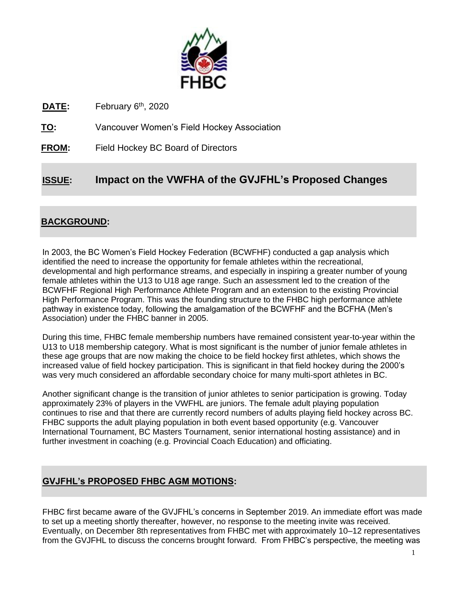

DATE: February 6<sup>th</sup>, 2020

**TO:** Vancouver Women's Field Hockey Association

**FROM:** Field Hockey BC Board of Directors

# **ISSUE: Impact on the VWFHA of the GVJFHL's Proposed Changes**

# **BACKGROUND:**

In 2003, the BC Women's Field Hockey Federation (BCWFHF) conducted a gap analysis which identified the need to increase the opportunity for female athletes within the recreational, developmental and high performance streams, and especially in inspiring a greater number of young female athletes within the U13 to U18 age range. Such an assessment led to the creation of the BCWFHF Regional High Performance Athlete Program and an extension to the existing Provincial High Performance Program. This was the founding structure to the FHBC high performance athlete pathway in existence today, following the amalgamation of the BCWFHF and the BCFHA (Men's Association) under the FHBC banner in 2005.

During this time, FHBC female membership numbers have remained consistent year-to-year within the U13 to U18 membership category. What is most significant is the number of junior female athletes in these age groups that are now making the choice to be field hockey first athletes, which shows the increased value of field hockey participation. This is significant in that field hockey during the 2000's was very much considered an affordable secondary choice for many multi-sport athletes in BC.

Another significant change is the transition of junior athletes to senior participation is growing. Today approximately 23% of players in the VWFHL are juniors. The female adult playing population continues to rise and that there are currently record numbers of adults playing field hockey across BC. FHBC supports the adult playing population in both event based opportunity (e.g. Vancouver International Tournament, BC Masters Tournament, senior international hosting assistance) and in further investment in coaching (e.g. Provincial Coach Education) and officiating.

# **GVJFHL's PROPOSED FHBC AGM MOTIONS:**

FHBC first became aware of the GVJFHL's concerns in September 2019. An immediate effort was made to set up a meeting shortly thereafter, however, no response to the meeting invite was received. Eventually, on December 8th representatives from FHBC met with approximately 10–12 representatives from the GVJFHL to discuss the concerns brought forward. From FHBC's perspective, the meeting was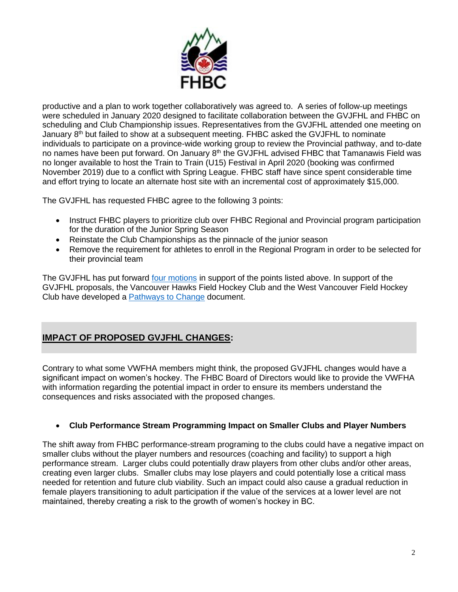

productive and a plan to work together collaboratively was agreed to. A series of follow-up meetings were scheduled in January 2020 designed to facilitate collaboration between the GVJFHL and FHBC on scheduling and Club Championship issues. Representatives from the GVJFHL attended one meeting on January  $8<sup>th</sup>$  but failed to show at a subsequent meeting. FHBC asked the GVJFHL to nominate individuals to participate on a province-wide working group to review the Provincial pathway, and to-date no names have been put forward. On January  $8<sup>th</sup>$  the GVJFHL advised FHBC that Tamanawis Field was no longer available to host the Train to Train (U15) Festival in April 2020 (booking was confirmed November 2019) due to a conflict with Spring League. FHBC staff have since spent considerable time and effort trying to locate an alternate host site with an incremental cost of approximately \$15,000.

The GVJFHL has requested FHBC agree to the following 3 points:

- Instruct FHBC players to prioritize club over FHBC Regional and Provincial program participation for the duration of the Junior Spring Season
- Reinstate the Club Championships as the pinnacle of the junior season
- Remove the requirement for athletes to enroll in the Regional Program in order to be selected for their provincial team

The GVJFHL has put forward [four motions](https://fieldhockeybc.com/2020/01/31/2020-fhbc-annual-general-meeting-notice-of-motions/) in support of the points listed above. In support of the GVJFHL proposals, the Vancouver Hawks Field Hockey Club and the West Vancouver Field Hockey Club have developed a [Pathways to Change](http://www.vancouverhawks.com/wp-content/uploads/sites/2024/2020/01/Pathway-to-Change-1-1-2.pdf) document.

# **IMPACT OF PROPOSED GVJFHL CHANGES:**

Contrary to what some VWFHA members might think, the proposed GVJFHL changes would have a significant impact on women's hockey. The FHBC Board of Directors would like to provide the VWFHA with information regarding the potential impact in order to ensure its members understand the consequences and risks associated with the proposed changes.

## • **Club Performance Stream Programming Impact on Smaller Clubs and Player Numbers**

The shift away from FHBC performance-stream programing to the clubs could have a negative impact on smaller clubs without the player numbers and resources (coaching and facility) to support a high performance stream. Larger clubs could potentially draw players from other clubs and/or other areas, creating even larger clubs. Smaller clubs may lose players and could potentially lose a critical mass needed for retention and future club viability. Such an impact could also cause a gradual reduction in female players transitioning to adult participation if the value of the services at a lower level are not maintained, thereby creating a risk to the growth of women's hockey in BC.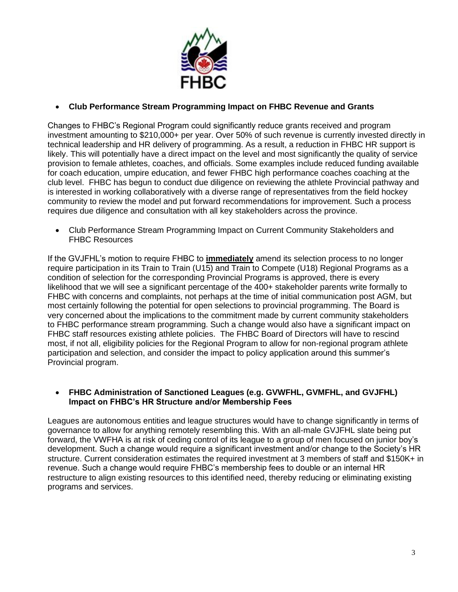

## • **Club Performance Stream Programming Impact on FHBC Revenue and Grants**

Changes to FHBC's Regional Program could significantly reduce grants received and program investment amounting to \$210,000+ per year. Over 50% of such revenue is currently invested directly in technical leadership and HR delivery of programming. As a result, a reduction in FHBC HR support is likely. This will potentially have a direct impact on the level and most significantly the quality of service provision to female athletes, coaches, and officials. Some examples include reduced funding available for coach education, umpire education, and fewer FHBC high performance coaches coaching at the club level. FHBC has begun to conduct due diligence on reviewing the athlete Provincial pathway and is interested in working collaboratively with a diverse range of representatives from the field hockey community to review the model and put forward recommendations for improvement. Such a process requires due diligence and consultation with all key stakeholders across the province.

• Club Performance Stream Programming Impact on Current Community Stakeholders and FHBC Resources

If the GVJFHL's motion to require FHBC to **immediately** amend its selection process to no longer require participation in its Train to Train (U15) and Train to Compete (U18) Regional Programs as a condition of selection for the corresponding Provincial Programs is approved, there is every likelihood that we will see a significant percentage of the 400+ stakeholder parents write formally to FHBC with concerns and complaints, not perhaps at the time of initial communication post AGM, but most certainly following the potential for open selections to provincial programming. The Board is very concerned about the implications to the commitment made by current community stakeholders to FHBC performance stream programming. Such a change would also have a significant impact on FHBC staff resources existing athlete policies. The FHBC Board of Directors will have to rescind most, if not all, eligibility policies for the Regional Program to allow for non-regional program athlete participation and selection, and consider the impact to policy application around this summer's Provincial program.

### • **FHBC Administration of Sanctioned Leagues (e.g. GVWFHL, GVMFHL, and GVJFHL) Impact on FHBC's HR Structure and/or Membership Fees**

Leagues are autonomous entities and league structures would have to change significantly in terms of governance to allow for anything remotely resembling this. With an all-male GVJFHL slate being put forward, the VWFHA is at risk of ceding control of its league to a group of men focused on junior boy's development. Such a change would require a significant investment and/or change to the Society's HR structure. Current consideration estimates the required investment at 3 members of staff and \$150K+ in revenue. Such a change would require FHBC's membership fees to double or an internal HR restructure to align existing resources to this identified need, thereby reducing or eliminating existing programs and services.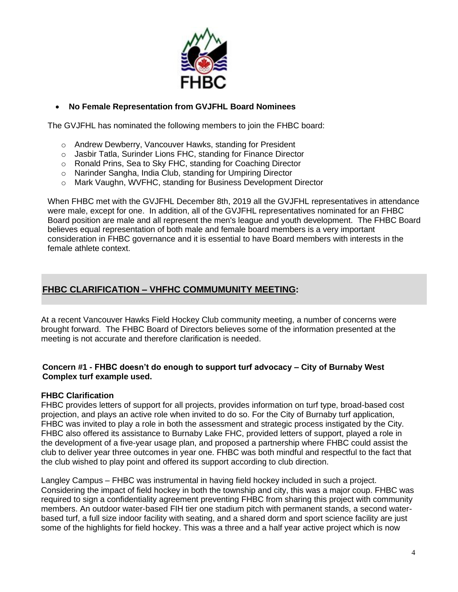

## • **No Female Representation from GVJFHL Board Nominees**

The GVJFHL has nominated the following members to join the FHBC board:

- o Andrew Dewberry, Vancouver Hawks, standing for President
- o Jasbir Tatla, Surinder Lions FHC, standing for Finance Director
- o Ronald Prins, Sea to Sky FHC, standing for Coaching Director
- o Narinder Sangha, India Club, standing for Umpiring Director
- o Mark Vaughn, WVFHC, standing for Business Development Director

When FHBC met with the GVJFHL December 8th, 2019 all the GVJFHL representatives in attendance were male, except for one. In addition, all of the GVJFHL representatives nominated for an FHBC Board position are male and all represent the men's league and youth development. The FHBC Board believes equal representation of both male and female board members is a very important consideration in FHBC governance and it is essential to have Board members with interests in the female athlete context.

## **FHBC CLARIFICATION – VHFHC COMMUMUNITY MEETING:**

At a recent Vancouver Hawks Field Hockey Club community meeting, a number of concerns were brought forward. The FHBC Board of Directors believes some of the information presented at the meeting is not accurate and therefore clarification is needed.

### **Concern #1 - FHBC doesn't do enough to support turf advocacy – City of Burnaby West Complex turf example used.**

### **FHBC Clarification**

FHBC provides letters of support for all projects, provides information on turf type, broad-based cost projection, and plays an active role when invited to do so. For the City of Burnaby turf application, FHBC was invited to play a role in both the assessment and strategic process instigated by the City. FHBC also offered its assistance to Burnaby Lake FHC, provided letters of support, played a role in the development of a five-year usage plan, and proposed a partnership where FHBC could assist the club to deliver year three outcomes in year one. FHBC was both mindful and respectful to the fact that the club wished to play point and offered its support according to club direction.

Langley Campus – FHBC was instrumental in having field hockey included in such a project. Considering the impact of field hockey in both the township and city, this was a major coup. FHBC was required to sign a confidentiality agreement preventing FHBC from sharing this project with community members. An outdoor water-based FIH tier one stadium pitch with permanent stands, a second waterbased turf, a full size indoor facility with seating, and a shared dorm and sport science facility are just some of the highlights for field hockey. This was a three and a half year active project which is now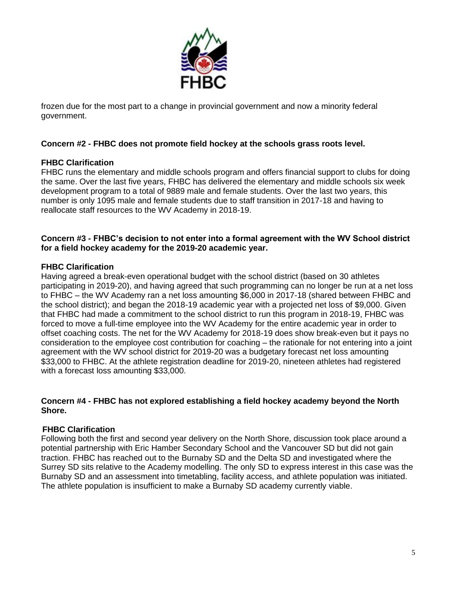

frozen due for the most part to a change in provincial government and now a minority federal government.

## **Concern #2 - FHBC does not promote field hockey at the schools grass roots level.**

## **FHBC Clarification**

FHBC runs the elementary and middle schools program and offers financial support to clubs for doing the same. Over the last five years, FHBC has delivered the elementary and middle schools six week development program to a total of 9889 male and female students. Over the last two years, this number is only 1095 male and female students due to staff transition in 2017-18 and having to reallocate staff resources to the WV Academy in 2018-19.

#### **Concern #3 - FHBC's decision to not enter into a formal agreement with the WV School district for a field hockey academy for the 2019-20 academic year.**

## **FHBC Clarification**

Having agreed a break-even operational budget with the school district (based on 30 athletes participating in 2019-20), and having agreed that such programming can no longer be run at a net loss to FHBC – the WV Academy ran a net loss amounting \$6,000 in 2017-18 (shared between FHBC and the school district); and began the 2018-19 academic year with a projected net loss of \$9,000. Given that FHBC had made a commitment to the school district to run this program in 2018-19, FHBC was forced to move a full-time employee into the WV Academy for the entire academic year in order to offset coaching costs. The net for the WV Academy for 2018-19 does show break-even but it pays no consideration to the employee cost contribution for coaching – the rationale for not entering into a joint agreement with the WV school district for 2019-20 was a budgetary forecast net loss amounting \$33,000 to FHBC. At the athlete registration deadline for 2019-20, nineteen athletes had registered with a forecast loss amounting \$33,000.

#### **Concern #4 - FHBC has not explored establishing a field hockey academy beyond the North Shore.**

### **FHBC Clarification**

Following both the first and second year delivery on the North Shore, discussion took place around a potential partnership with Eric Hamber Secondary School and the Vancouver SD but did not gain traction. FHBC has reached out to the Burnaby SD and the Delta SD and investigated where the Surrey SD sits relative to the Academy modelling. The only SD to express interest in this case was the Burnaby SD and an assessment into timetabling, facility access, and athlete population was initiated. The athlete population is insufficient to make a Burnaby SD academy currently viable.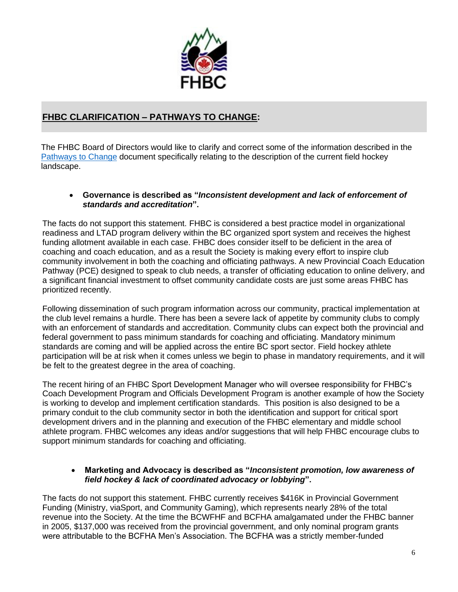

# **FHBC CLARIFICATION – PATHWAYS TO CHANGE:**

The FHBC Board of Directors would like to clarify and correct some of the information described in the [Pathways to Change](http://www.vancouverhawks.com/wp-content/uploads/sites/2024/2020/01/Pathway-to-Change-1-1-2.pdf) document specifically relating to the description of the current field hockey landscape.

#### • **Governance is described as "***Inconsistent development and lack of enforcement of standards and accreditation***".**

The facts do not support this statement. FHBC is considered a best practice model in organizational readiness and LTAD program delivery within the BC organized sport system and receives the highest funding allotment available in each case. FHBC does consider itself to be deficient in the area of coaching and coach education, and as a result the Society is making every effort to inspire club community involvement in both the coaching and officiating pathways. A new Provincial Coach Education Pathway (PCE) designed to speak to club needs, a transfer of officiating education to online delivery, and a significant financial investment to offset community candidate costs are just some areas FHBC has prioritized recently.

Following dissemination of such program information across our community, practical implementation at the club level remains a hurdle. There has been a severe lack of appetite by community clubs to comply with an enforcement of standards and accreditation. Community clubs can expect both the provincial and federal government to pass minimum standards for coaching and officiating. Mandatory minimum standards are coming and will be applied across the entire BC sport sector. Field hockey athlete participation will be at risk when it comes unless we begin to phase in mandatory requirements, and it will be felt to the greatest degree in the area of coaching.

The recent hiring of an FHBC Sport Development Manager who will oversee responsibility for FHBC's Coach Development Program and Officials Development Program is another example of how the Society is working to develop and implement certification standards. This position is also designed to be a primary conduit to the club community sector in both the identification and support for critical sport development drivers and in the planning and execution of the FHBC elementary and middle school athlete program. FHBC welcomes any ideas and/or suggestions that will help FHBC encourage clubs to support minimum standards for coaching and officiating.

#### • **Marketing and Advocacy is described as "***Inconsistent promotion, low awareness of field hockey & lack of coordinated advocacy or lobbying***".**

The facts do not support this statement. FHBC currently receives \$416K in Provincial Government Funding (Ministry, viaSport, and Community Gaming), which represents nearly 28% of the total revenue into the Society. At the time the BCWFHF and BCFHA amalgamated under the FHBC banner in 2005, \$137,000 was received from the provincial government, and only nominal program grants were attributable to the BCFHA Men's Association. The BCFHA was a strictly member-funded